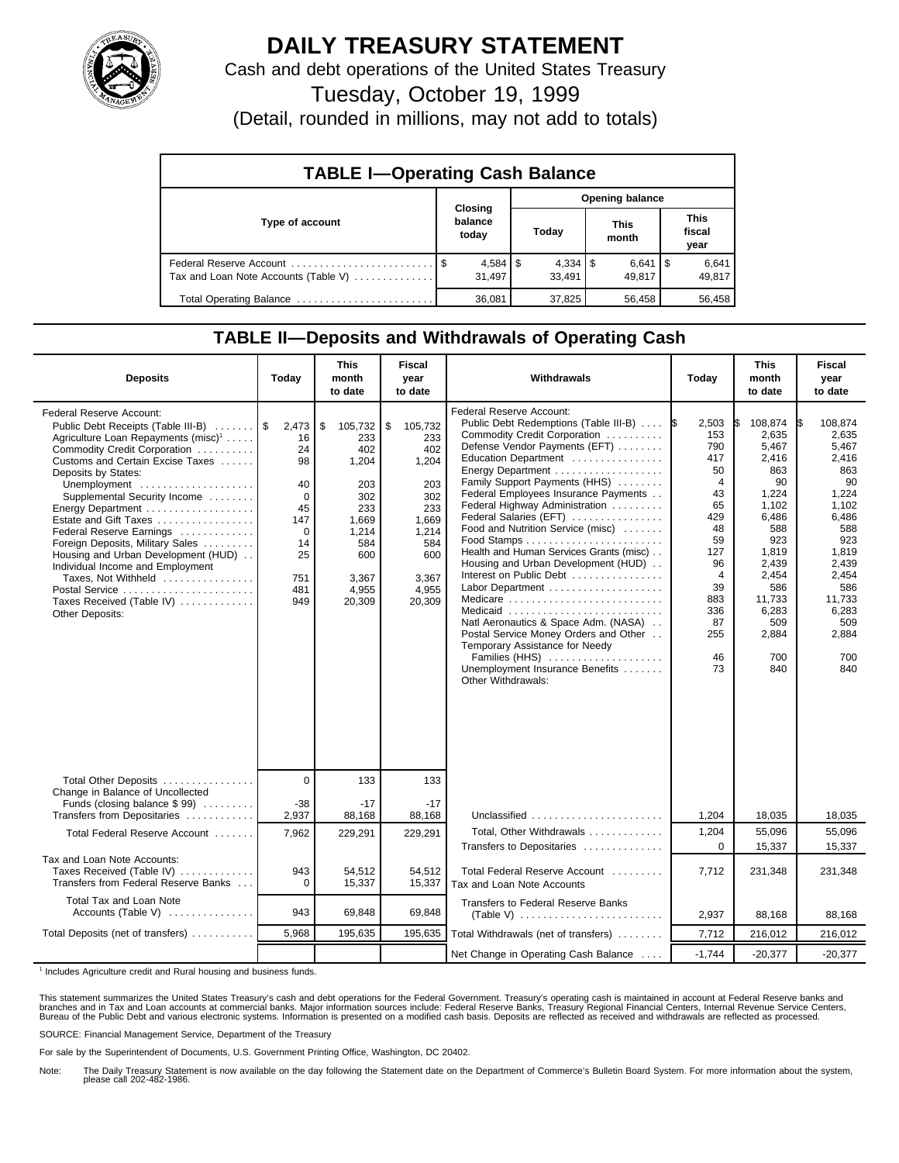

## **DAILY TREASURY STATEMENT**

Cash and debt operations of the United States Treasury

Tuesday, October 19, 1999

(Detail, rounded in millions, may not add to totals)

| <b>TABLE I-Operating Cash Balance</b> |                             |                 |                      |                               |  |  |  |
|---------------------------------------|-----------------------------|-----------------|----------------------|-------------------------------|--|--|--|
|                                       |                             | Opening balance |                      |                               |  |  |  |
| Type of account                       | Closing<br>balance<br>today | Today           | <b>This</b><br>month | <b>This</b><br>fiscal<br>year |  |  |  |
| Tax and Loan Note Accounts (Table V)  | $4,584$   \$<br>31.497      | 33.491          | $6,641$ S<br>49.817  | 6,641<br>49,817               |  |  |  |
| Total Operating Balance               | 36.081                      | 37,825          | 56,458               | 56,458                        |  |  |  |

## **TABLE II—Deposits and Withdrawals of Operating Cash**

| <b>Deposits</b>                                                                                                                                                                                                                                                                                                                                                                                                                                                                                                                                | Today                                                                                               | <b>This</b><br>month<br>to date                                                                                       | <b>Fiscal</b><br>year<br>to date                                                                                      | Withdrawals                                                                                                                                                                                                                                                                                                                                                                                                                                                                                                                                                                                                                                                                                 | Today                                                                                                                                            | <b>This</b><br>month<br>to date                                                                                                                                             | <b>Fiscal</b><br>vear<br>to date                                                                                                                                                   |
|------------------------------------------------------------------------------------------------------------------------------------------------------------------------------------------------------------------------------------------------------------------------------------------------------------------------------------------------------------------------------------------------------------------------------------------------------------------------------------------------------------------------------------------------|-----------------------------------------------------------------------------------------------------|-----------------------------------------------------------------------------------------------------------------------|-----------------------------------------------------------------------------------------------------------------------|---------------------------------------------------------------------------------------------------------------------------------------------------------------------------------------------------------------------------------------------------------------------------------------------------------------------------------------------------------------------------------------------------------------------------------------------------------------------------------------------------------------------------------------------------------------------------------------------------------------------------------------------------------------------------------------------|--------------------------------------------------------------------------------------------------------------------------------------------------|-----------------------------------------------------------------------------------------------------------------------------------------------------------------------------|------------------------------------------------------------------------------------------------------------------------------------------------------------------------------------|
| Federal Reserve Account:<br>Public Debt Receipts (Table III-B)<br>Agriculture Loan Repayments (misc) <sup>1</sup><br>Commodity Credit Corporation<br>Customs and Certain Excise Taxes<br>Deposits by States:<br>Unemployment<br>Supplemental Security Income<br>Energy Department<br>Estate and Gift Taxes<br>Federal Reserve Earnings<br>Foreign Deposits, Military Sales<br>Housing and Urban Development (HUD)<br>Individual Income and Employment<br>Taxes, Not Withheld<br>Postal Service<br>Taxes Received (Table IV)<br>Other Deposits: | 2,473<br>16<br>24<br>98<br>40<br>$\Omega$<br>45<br>147<br>$\Omega$<br>14<br>25<br>751<br>481<br>949 | \$<br>105,732<br>233<br>402<br>1,204<br>203<br>302<br>233<br>1,669<br>1,214<br>584<br>600<br>3,367<br>4,955<br>20,309 | \$<br>105,732<br>233<br>402<br>1,204<br>203<br>302<br>233<br>1,669<br>1,214<br>584<br>600<br>3,367<br>4,955<br>20,309 | Federal Reserve Account:<br>Public Debt Redemptions (Table III-B)<br>Commodity Credit Corporation<br>Defense Vendor Payments (EFT)<br>Education Department<br>Family Support Payments (HHS)<br>Federal Employees Insurance Payments<br>Federal Highway Administration<br>Federal Salaries (EFT)<br>Food and Nutrition Service (misc)<br>Health and Human Services Grants (misc)<br>Housing and Urban Development (HUD)<br>Interest on Public Debt<br>Labor Department<br>Medicare<br>Medicaid<br>Natl Aeronautics & Space Adm. (NASA)<br>Postal Service Money Orders and Other<br>Temporary Assistance for Needy<br>Families (HHS)<br>Unemployment Insurance Benefits<br>Other Withdrawals: | 2,503<br>153<br>790<br>417<br>50<br>4<br>43<br>65<br>429<br>48<br>59<br>127<br>96<br>$\overline{4}$<br>39<br>883<br>336<br>87<br>255<br>46<br>73 | 108,874<br>2.635<br>5,467<br>2,416<br>863<br>90<br>1,224<br>1,102<br>6,486<br>588<br>923<br>1,819<br>2,439<br>2,454<br>586<br>11,733<br>6,283<br>509<br>2,884<br>700<br>840 | 108.874<br>I\$<br>2.635<br>5,467<br>2,416<br>863<br>90<br>1,224<br>1,102<br>6,486<br>588<br>923<br>1,819<br>2,439<br>2,454<br>586<br>11,733<br>6,283<br>509<br>2,884<br>700<br>840 |
| Total Other Deposits<br>Change in Balance of Uncollected                                                                                                                                                                                                                                                                                                                                                                                                                                                                                       | $\mathbf 0$                                                                                         | 133                                                                                                                   | 133                                                                                                                   |                                                                                                                                                                                                                                                                                                                                                                                                                                                                                                                                                                                                                                                                                             |                                                                                                                                                  |                                                                                                                                                                             |                                                                                                                                                                                    |
| Funds (closing balance \$99)<br>Transfers from Depositaries                                                                                                                                                                                                                                                                                                                                                                                                                                                                                    | $-38$<br>2,937                                                                                      | $-17$<br>88,168                                                                                                       | $-17$<br>88,168                                                                                                       | Unclassified                                                                                                                                                                                                                                                                                                                                                                                                                                                                                                                                                                                                                                                                                | 1,204                                                                                                                                            | 18,035                                                                                                                                                                      | 18,035                                                                                                                                                                             |
| Total Federal Reserve Account                                                                                                                                                                                                                                                                                                                                                                                                                                                                                                                  | 7,962                                                                                               | 229,291                                                                                                               | 229,291                                                                                                               | Total, Other Withdrawals<br>Transfers to Depositaries                                                                                                                                                                                                                                                                                                                                                                                                                                                                                                                                                                                                                                       | 1,204<br>$\mathbf 0$                                                                                                                             | 55,096<br>15,337                                                                                                                                                            | 55,096<br>15.337                                                                                                                                                                   |
| Tax and Loan Note Accounts:<br>Taxes Received (Table IV)<br>Transfers from Federal Reserve Banks                                                                                                                                                                                                                                                                                                                                                                                                                                               | 943<br>$\Omega$                                                                                     | 54,512<br>15,337                                                                                                      | 54,512<br>15,337                                                                                                      | Total Federal Reserve Account<br>Tax and Loan Note Accounts                                                                                                                                                                                                                                                                                                                                                                                                                                                                                                                                                                                                                                 | 7,712                                                                                                                                            | 231,348                                                                                                                                                                     | 231,348                                                                                                                                                                            |
| Total Tax and Loan Note<br>Accounts (Table V)                                                                                                                                                                                                                                                                                                                                                                                                                                                                                                  | 943                                                                                                 | 69,848                                                                                                                | 69,848                                                                                                                | <b>Transfers to Federal Reserve Banks</b>                                                                                                                                                                                                                                                                                                                                                                                                                                                                                                                                                                                                                                                   | 2,937                                                                                                                                            | 88.168                                                                                                                                                                      | 88.168                                                                                                                                                                             |
| Total Deposits (net of transfers)                                                                                                                                                                                                                                                                                                                                                                                                                                                                                                              | 5,968                                                                                               | 195,635                                                                                                               | 195,635                                                                                                               | Total Withdrawals (net of transfers)                                                                                                                                                                                                                                                                                                                                                                                                                                                                                                                                                                                                                                                        | 7,712                                                                                                                                            | 216,012                                                                                                                                                                     | 216,012                                                                                                                                                                            |
|                                                                                                                                                                                                                                                                                                                                                                                                                                                                                                                                                |                                                                                                     |                                                                                                                       |                                                                                                                       | Net Change in Operating Cash Balance                                                                                                                                                                                                                                                                                                                                                                                                                                                                                                                                                                                                                                                        | $-1.744$                                                                                                                                         | $-20,377$                                                                                                                                                                   | $-20,377$                                                                                                                                                                          |

<sup>1</sup> Includes Agriculture credit and Rural housing and business funds.

This statement summarizes the United States Treasury's cash and debt operations for the Federal Government. Treasury's operating cash is maintained in account at Federal Reserve banks and<br>branches and in Tax and Loan accou

SOURCE: Financial Management Service, Department of the Treasury

For sale by the Superintendent of Documents, U.S. Government Printing Office, Washington, DC 20402.

Note: The Daily Treasury Statement is now available on the day following the Statement date on the Department of Commerce's Bulletin Board System. For more information about the system, please call 202-482-1986.